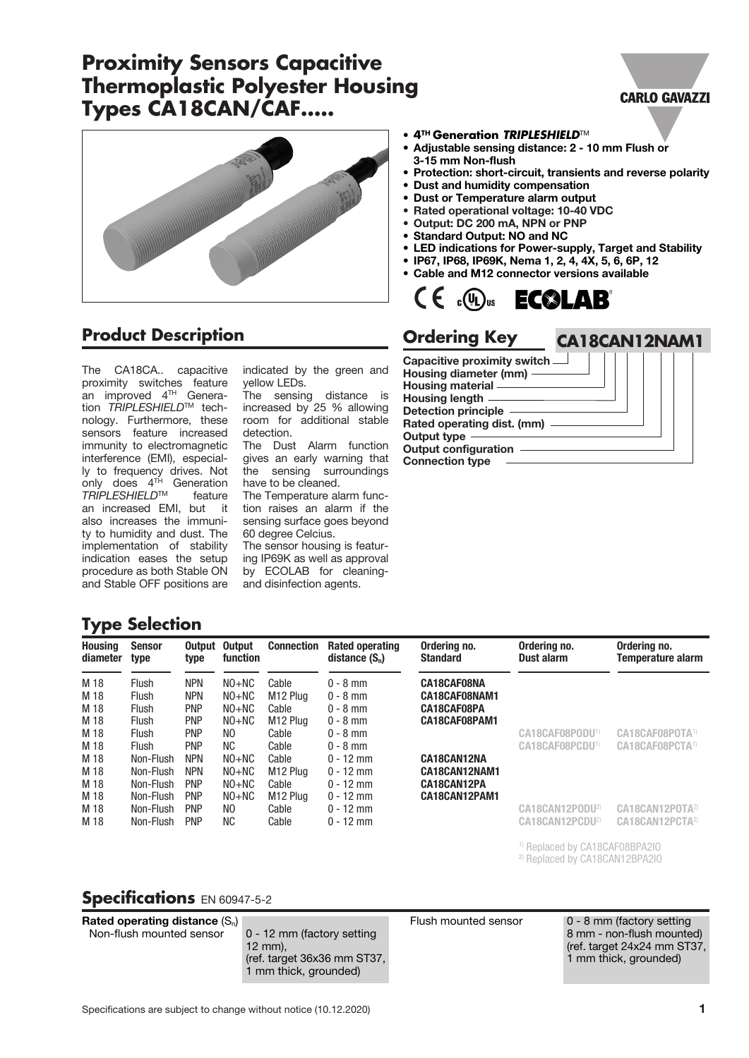# **Proximity Sensors Capacitive Thermoplastic Polyester Housing Types CA18CAN/CAF.....**



# **Product Description**

The CA18CA.. capacitive proximity switches feature an improved 4<sup>TH</sup> Generation *TRIPLESHIELD*TM technology. Furthermore, these sensors feature increased immunity to electromagnetic interference (EMI), especially to frequency drives. Not only does 4<sup>TH</sup> Generation *TRIPLESHIELD*TM feature an increased EMI, but it also increases the immunity to humidity and dust. The implementation of stability indication eases the setup procedure as both Stable ON and Stable OFF positions are

indicated by the green and yellow LEDs.

The sensing distance is increased by 25 % allowing room for additional stable detection.

The Dust Alarm function gives an early warning that the sensing surroundings have to be cleaned.

The Temperature alarm function raises an alarm if the sensing surface goes beyond 60 degree Celcius.

The sensor housing is featuring IP69K as well as approval by ECOLAB for cleaningand disinfection agents.

- **4TH Generation** *TRIPLESHIELD*TM
- Adjustable sensing distance: 2 10 mm Flush or 3-15 mm Non-flush
- Protection: short-circuit, transients and reverse polarity
- Dust and humidity compensation
- Dust or Temperature alarm output
- Rated operational voltage: 10-40 VDC
- Output: DC 200 mA, NPN or PNP
- Standard Output: NO and NC
- LED indications for Power-supply, Target and Stability
- IP67, IP68, IP69K, Nema 1, 2, 4, 4X, 5, 6, 6P, 12 • Cable and M12 connector versions available



### **Ordering Key**

Capacitive proximity switch Housing diameter (mm) Housing material Housing length Detection principle Rated operating dist. (mm) Output type Output configuration Connection type

**CA18CAN12NAM1**

**CARLO GAVAZZI** 

# **Type Selection**

| <b>Housing</b>                                                                               | <b>Sensor</b>                                                                                                                                         | Output                                                                                                                                                               | <b>Output</b>                                                                                                    | <b>Connection</b>                                                                                                                                                    | <b>Rated operating</b>                                                                                                                                                     | Ordering no.                                                                                                                 | Ordering no.                                                                                     | Ordering no.                                                                                                             |
|----------------------------------------------------------------------------------------------|-------------------------------------------------------------------------------------------------------------------------------------------------------|----------------------------------------------------------------------------------------------------------------------------------------------------------------------|------------------------------------------------------------------------------------------------------------------|----------------------------------------------------------------------------------------------------------------------------------------------------------------------|----------------------------------------------------------------------------------------------------------------------------------------------------------------------------|------------------------------------------------------------------------------------------------------------------------------|--------------------------------------------------------------------------------------------------|--------------------------------------------------------------------------------------------------------------------------|
| diameter                                                                                     | type                                                                                                                                                  | type                                                                                                                                                                 | function                                                                                                         |                                                                                                                                                                      | distance $(S_n)$                                                                                                                                                           | <b>Standard</b>                                                                                                              | Dust alarm                                                                                       | Temperature alarm                                                                                                        |
| M 18<br>M 18<br>M 18<br>M 18<br>M 18<br>M 18<br>M 18<br>M 18<br>M 18<br>M 18<br>M 18<br>M 18 | <b>Flush</b><br><b>Flush</b><br><b>Flush</b><br>Flush<br>Flush<br>Flush<br>Non-Flush<br>Non-Flush<br>Non-Flush<br>Non-Flush<br>Non-Flush<br>Non-Flush | <b>NPN</b><br><b>NPN</b><br><b>PNP</b><br><b>PNP</b><br><b>PNP</b><br><b>PNP</b><br><b>NPN</b><br><b>NPN</b><br><b>PNP</b><br><b>PNP</b><br><b>PNP</b><br><b>PNP</b> | $NO+NC$<br>$NO+NC$<br>$NO+NC$<br>$NO+NC$<br>NO.<br>NC.<br>$NO+NC$<br>$NO+NC$<br>$NO+NC$<br>$NO+NC$<br>NO.<br>NC. | Cable<br>M <sub>12</sub> Plug<br>Cable<br>M <sub>12</sub> Plua<br>Cable<br>Cable<br>Cable<br>M <sub>12</sub> Plug<br>Cable<br>M <sub>12</sub> Plua<br>Cable<br>Cable | $0 - 8$ mm<br>$0 - 8$ mm<br>$0 - 8$ mm<br>$0 - 8$ mm<br>$0 - 8$ mm<br>$0 - 8$ mm<br>$0 - 12$ mm<br>$0 - 12$ mm<br>$0 - 12$ mm<br>$0 - 12$ mm<br>$0 - 12$ mm<br>$0 - 12$ mm | CA18CAF08NA<br>CA18CAF08NAM1<br>CA18CAF08PA<br>CA18CAF08PAM1<br>CA18CAN12NA<br>CA18CAN12NAM1<br>CA18CAN12PA<br>CA18CAN12PAM1 | CA18CAF08PODU <sup>1)</sup><br>CA18CAF08PCDU <sup>1)</sup><br>CA18CAN12PODU2)<br>CA18CAN12PCDU2) | CA18CAF08POTA <sup>1)</sup><br>CA18CAF08PCTA <sup>1)</sup><br>CA18CAN12POTA <sup>2)</sup><br>CA18CAN12PCTA <sup>2)</sup> |

1) Replaced by CA18CAF08BPA2IO

2) Replaced by CA18CAN12BPA2IO

#### **Specifications** EN 60947-5-2

| Rated operating distance $(S_n)$ |                             | Flush mounted sensor | 0 - 8 mm (factory setting   |
|----------------------------------|-----------------------------|----------------------|-----------------------------|
| Non-flush mounted sensor         | 0 - 12 mm (factory setting  |                      | 8 mm - non-flush mounted)   |
|                                  | $12 \text{ mm}$ ).          |                      | (ref. target 24x24 mm ST37, |
|                                  | (ref. target 36x36 mm ST37, |                      | 1 mm thick, grounded)       |
|                                  | 1 mm thick, grounded)       |                      |                             |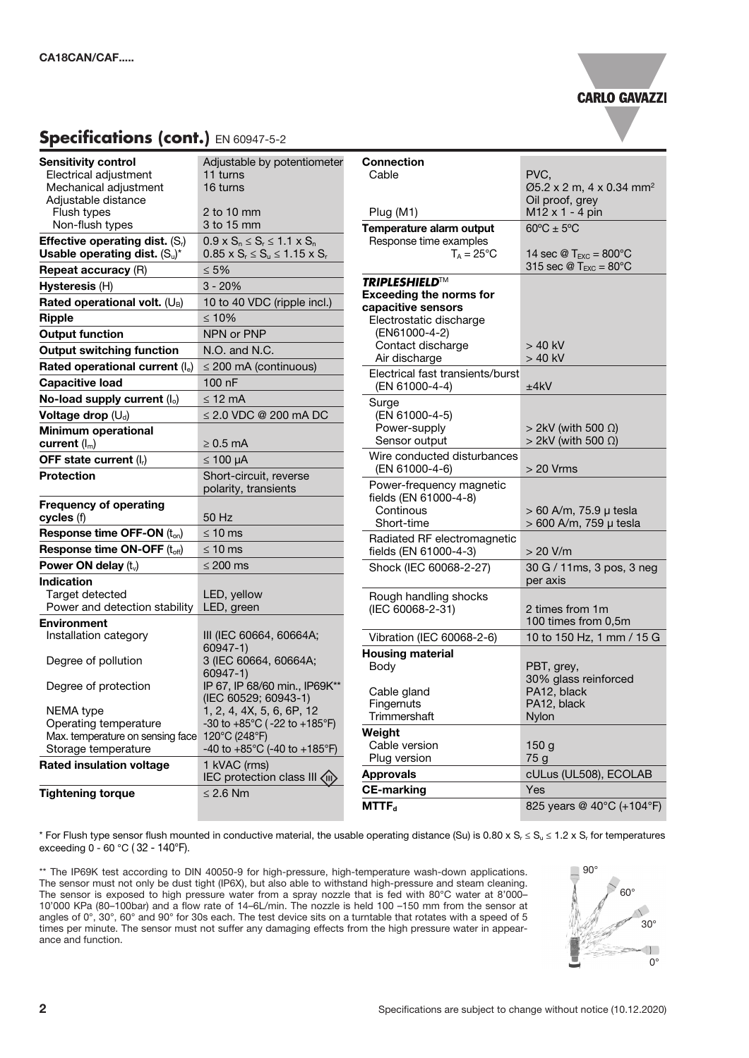#### **CARLO GAVAZZI**

### **Specifications (cont.)** EN 60947-5-2

| <b>Sensitivity control</b>                                              | Adjustable by potentiometer                                                                      |  |
|-------------------------------------------------------------------------|--------------------------------------------------------------------------------------------------|--|
| Electrical adjustment                                                   | 11 turns                                                                                         |  |
| Mechanical adjustment                                                   | 16 turns                                                                                         |  |
| Adjustable distance                                                     |                                                                                                  |  |
| Flush types                                                             | 2 to 10 mm                                                                                       |  |
| Non-flush types                                                         | 3 to 15 mm                                                                                       |  |
| <b>Effective operating dist.</b> $(Sr)$<br>Usable operating dist. (Su)* | $0.9 \times S_n \leq S_r \leq 1.1 \times S_n$<br>$0.85 \times S_r \leq S_u \leq 1.15 \times S_r$ |  |
| Repeat accuracy (R)                                                     | $\leq 5\%$                                                                                       |  |
| Hysteresis (H)                                                          | $3 - 20%$                                                                                        |  |
| Rated operational volt. $(U_B)$                                         | 10 to 40 VDC (ripple incl.)                                                                      |  |
| <b>Ripple</b>                                                           | ≤ 10%                                                                                            |  |
| <b>Output function</b>                                                  | NPN or PNP                                                                                       |  |
| <b>Output switching function</b>                                        | N.O. and N.C.                                                                                    |  |
| Rated operational current (le)                                          | $\leq$ 200 mA (continuous)                                                                       |  |
| <b>Capacitive load</b>                                                  | 100 nF                                                                                           |  |
| No-load supply current $(I_0)$                                          | $\leq$ 12 mA                                                                                     |  |
| Voltage drop $(U_d)$                                                    | $\leq$ 2.0 VDC @ 200 mA DC                                                                       |  |
| <b>Minimum operational</b>                                              |                                                                                                  |  |
| current $(\mathsf{I}_{m})$                                              | ≥ 0.5 mA                                                                                         |  |
| OFF state current $(I_r)$                                               | $\leq 100 \mu A$                                                                                 |  |
| <b>Protection</b>                                                       | Short-circuit, reverse                                                                           |  |
|                                                                         | polarity, transients                                                                             |  |
| <b>Frequency of operating</b>                                           |                                                                                                  |  |
| cycles (f)                                                              | 50 Hz                                                                                            |  |
| Response time OFF-ON (ton)                                              | ≤ 10 ms                                                                                          |  |
| Response time ON-OFF (toff)                                             | ≤ 10 ms                                                                                          |  |
| Power ON delay $(t_v)$                                                  | ≤ 200 ms                                                                                         |  |
| <b>Indication</b>                                                       |                                                                                                  |  |
| Target detected                                                         | LED, yellow                                                                                      |  |
| Power and detection stability                                           | LED, green                                                                                       |  |
| <b>Environment</b>                                                      |                                                                                                  |  |
| Installation category                                                   | III (IEC 60664, 60664A;                                                                          |  |
|                                                                         | 60947-1)                                                                                         |  |
| Degree of pollution                                                     | 3 (IEC 60664, 60664A;<br>$60947 - 1)$                                                            |  |
| Degree of protection                                                    | IP 67, IP 68/60 min., IP69K**                                                                    |  |
|                                                                         | (IEC 60529; 60943-1)                                                                             |  |
| NEMA type                                                               | 1, 2, 4, 4X, 5, 6, 6P, 12                                                                        |  |
| Operating temperature                                                   | $-30$ to $+85^{\circ}$ C ( $-22$ to $+185^{\circ}$ F)                                            |  |
| Max. temperature on sensing face                                        | 120°C (248°F)                                                                                    |  |
| Storage temperature                                                     | -40 to +85°C (-40 to +185°F)                                                                     |  |
| <b>Rated insulation voltage</b>                                         | 1 kVAC (rms)                                                                                     |  |
|                                                                         | IEC protection class III <ii< td=""><td></td></ii<>                                              |  |
| <b>Tightening torque</b>                                                | ≤ 2.6 Nm                                                                                         |  |
|                                                                         |                                                                                                  |  |

| <b>Connection</b>                             |                                                          |
|-----------------------------------------------|----------------------------------------------------------|
| Cable                                         | PVC,                                                     |
|                                               | $\varnothing$ 5.2 x 2 m, 4 x 0.34 mm <sup>2</sup>        |
|                                               | Oil proof, grey                                          |
| Plug (M1)                                     | M12 x 1 - 4 pin                                          |
| Temperature alarm output                      | $60^{\circ}$ C ± 5°C                                     |
| Response time examples                        |                                                          |
| $T_A = 25^{\circ}C$                           | 14 sec $\mathcal{Q}$ T <sub>EXC</sub> = 800 $^{\circ}$ C |
|                                               | 315 sec $\circledR$ T <sub>EXC</sub> = 80 $^{\circ}$ C   |
| TRIPLESHIELD™                                 |                                                          |
| <b>Exceeding the norms for</b>                |                                                          |
| capacitive sensors                            |                                                          |
| Electrostatic discharge                       |                                                          |
| (EN61000-4-2)                                 |                                                          |
| Contact discharge                             | > 40 kV                                                  |
| Air discharge                                 | $>40$ kV                                                 |
| Electrical fast transients/burst              |                                                          |
| (EN 61000-4-4)                                | ±4kV                                                     |
| Surge                                         |                                                          |
| (EN 61000-4-5)                                |                                                          |
| Power-supply                                  | $>$ 2kV (with 500 $\Omega$ )                             |
| Sensor output                                 | $> 2$ kV (with 500 $\Omega$ )                            |
|                                               |                                                          |
| Wire conducted disturbances<br>(EN 61000-4-6) | $>$ 20 Vrms                                              |
|                                               |                                                          |
| Power-frequency magnetic                      |                                                          |
| fields (EN 61000-4-8)                         |                                                          |
| Continous                                     | > 60 A/m, 75.9 μ tesla                                   |
| Short-time                                    | > 600 A/m, 759 µ tesla                                   |
| Radiated RF electromagnetic                   |                                                          |
| fields (EN 61000-4-3)                         | > 20 V/m                                                 |
| Shock (IEC 60068-2-27)                        | 30 G / 11ms, 3 pos, 3 neg                                |
|                                               | per axis                                                 |
| Rough handling shocks                         |                                                          |
| (IEC 60068-2-31)                              | 2 times from 1m                                          |
|                                               | 100 times from 0,5m                                      |
| Vibration (IEC 60068-2-6)                     | 10 to 150 Hz, 1 mm / 15 G                                |
| <b>Housing material</b>                       |                                                          |
|                                               |                                                          |
| Body                                          | PBT, grey,<br>30% glass reinforced                       |
|                                               |                                                          |
| Cable gland                                   | PA12, black<br>PA12, black                               |
| Fingernuts                                    | Nylon                                                    |
| Trimmershaft                                  |                                                          |
| Weight                                        |                                                          |
| Cable version                                 | 150 <sub>g</sub>                                         |
| Plug version                                  | 75 g                                                     |
| <b>Approvals</b>                              | cULus (UL508), ECOLAB                                    |
| <b>CE-marking</b>                             | Yes                                                      |
| $MTTF_d$                                      | 825 years @ 40°C (+104°F)                                |

\* For Flush type sensor flush mounted in conductive material, the usable operating distance (Su) is 0.80 x S<sub>r</sub>  $\leq$  S<sub>u</sub>  $\leq$  1.2 x S<sub>r</sub> for temperatures exceeding 0 - 60 °C ( 32 - 140°F).

\*\* The IP69K test according to DIN 40050-9 for high-pressure, high-temperature wash-down applications. The sensor must not only be dust tight (IP6X), but also able to withstand high-pressure and steam cleaning. The sensor is exposed to high pressure water from a spray nozzle that is fed with 80°C water at 8'000– 10'000 KPa (80–100bar) and a flow rate of 14–6L/min. The nozzle is held 100 –150 mm from the sensor at angles of 0°, 30°, 60° and 90° for 30s each. The test device sits on a turntable that rotates with a speed of 5 times per minute. The sensor must not suffer any damaging effects from the high pressure water in appearance and function.

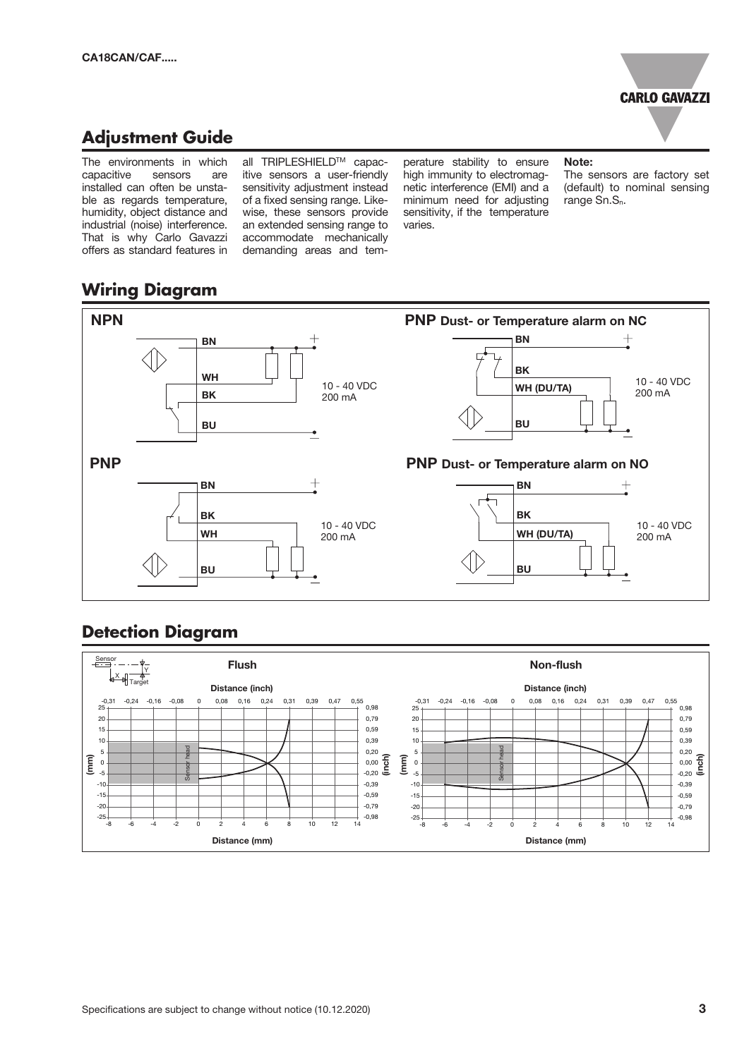

# **Adjustment Guide**

The environments in which capacitive sensors are installed can often be unstable as regards temperature, humidity, object distance and industrial (noise) interference. That is why Carlo Gavazzi offers as standard features in all TRIPLESHIELD™ capacitive sensors a user-friendly sensitivity adjustment instead of a fixed sensing range. Likewise, these sensors provide an extended sensing range to accommodate mechanically demanding areas and temperature stability to ensure high immunity to electromagnetic interference (EMI) and a minimum need for adjusting sensitivity, if the temperature varies.

Note:

The sensors are factory set (default) to nominal sensing range Sn.S<sub>n</sub>.

# **Wiring Diagram**



### **Detection Diagram**

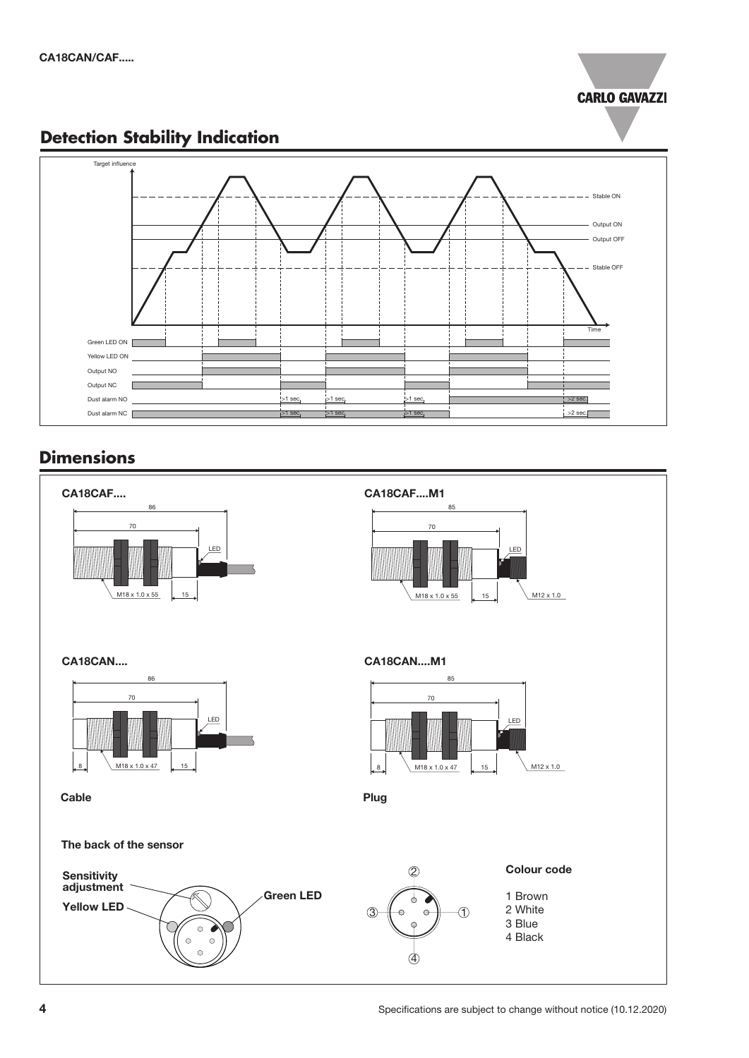

# **Detection Stability Indication**



## **Dimensions**